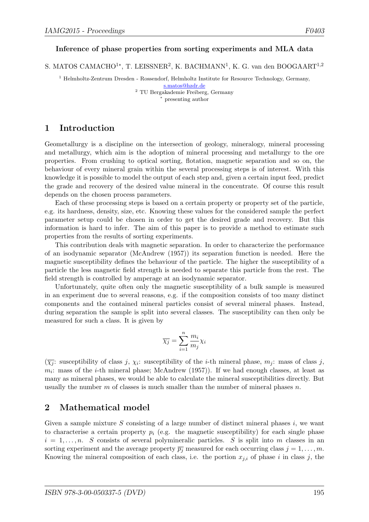#### Inference of phase properties from sorting experiments and MLA data

S. MATOS CAMACHO<sup>1\*</sup>, T. LEISSNER<sup>2</sup>, K. BACHMANN<sup>1</sup>, K. G. van den BOOGAART<sup>1,2</sup>

<sup>1</sup> Helmholtz-Zentrum Dresden - Rossendorf, Helmholtz Institute for Resource Technology, Germany, s.matos@hzdr.de

<sup>2</sup> TU Bergakademie Freiberg, Germany <sup>∗</sup> presenting author

1 Introduction

Geometallurgy is a discipline on the intersection of geology, mineralogy, mineral processing and metallurgy, which aim is the adoption of mineral processing and metallurgy to the ore properties. From crushing to optical sorting, flotation, magnetic separation and so on, the behaviour of every mineral grain within the several processing steps is of interest. With this knowledge it is possible to model the output of each step and, given a certain input feed, predict the grade and recovery of the desired value mineral in the concentrate. Of course this result depends on the chosen process parameters.

Each of these processing steps is based on a certain property or property set of the particle, e.g. its hardness, density, size, etc. Knowing these values for the considered sample the perfect parameter setup could be chosen in order to get the desired grade and recovery. But this information is hard to infer. The aim of this paper is to provide a method to estimate such properties from the results of sorting experiments.

This contribution deals with magnetic separation. In order to characterize the performance of an isodynamic separator (McAndrew (1957)) its separation function is needed. Here the magnetic susceptibility defines the behaviour of the particle. The higher the susceptibility of a particle the less magnetic field strength is needed to separate this particle from the rest. The field strength is controlled by amperage at an isodynamic separator.

Unfortunately, quite often only the magnetic susceptibility of a bulk sample is measured in an experiment due to several reasons, e.g. if the composition consists of too many distinct components and the contained mineral particles consist of several mineral phases. Instead, during separation the sample is split into several classes. The susceptibility can then only be measured for such a class. It is given by

$$
\overline{\chi_j} = \sum_{i=1}^n \frac{m_i}{m_j} \chi_i
$$

 $(\overline{\chi_j})$ : susceptibility of class j,  $\chi_i$ : susceptibility of the *i*-th mineral phase,  $m_j$ : mass of class j,  $m_i$ : mass of the *i*-th mineral phase; McAndrew (1957)). If we had enough classes, at least as many as mineral phases, we would be able to calculate the mineral susceptibilities directly. But usually the number  $m$  of classes is much smaller than the number of mineral phases  $n$ .

## 2 Mathematical model

Given a sample mixture  $S$  consisting of a large number of distinct mineral phases  $i$ , we want to characterise a certain property  $p_i$  (e.g. the magnetic susceptibility) for each single phase  $i = 1, \ldots, n$ . S consists of several polymineralic particles. S is split into m classes in an sorting experiment and the average property  $\overline{p_j}$  measured for each occurring class  $j = 1, \ldots, m$ . Knowing the mineral composition of each class, i.e. the portion  $x_{j,i}$  of phase i in class j, the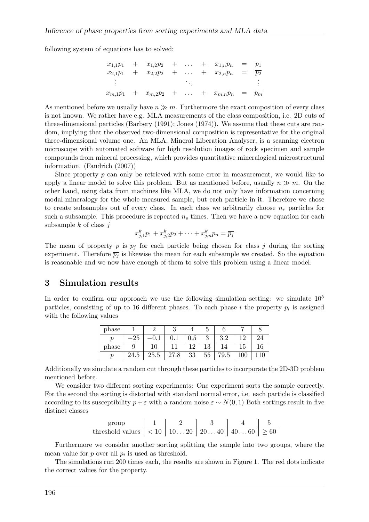following system of equations has to solved:

$$
x_{1,1}p_1 + x_{1,2}p_2 + \dots + x_{1,n}p_n = \overline{p_1}
$$
  
\n
$$
x_{2,1}p_1 + x_{2,2}p_2 + \dots + x_{2,n}p_n = \overline{p_2}
$$
  
\n:  
\n:  
\n:  
\n
$$
x_{m,1}p_1 + x_{m,2}p_2 + \dots + x_{m,n}p_n = \overline{p_m}
$$

As mentioned before we usually have  $n \gg m$ . Furthermore the exact composition of every class is not known. We rather have e.g. MLA measurements of the class composition, i.e. 2D cuts of three-dimensional particles (Barbery (1991); Jones (1974)). We assume that these cuts are random, implying that the observed two-dimensional composition is representative for the original three-dimensional volume one. An MLA, Mineral Liberation Analyser, is a scanning electron microscope with automated software for high resolution images of rock specimen and sample compounds from mineral processing, which provides quantitative mineralogical microstructural information. (Fandrich (2007))

Since property  $p$  can only be retrieved with some error in measurement, we would like to apply a linear model to solve this problem. But as mentioned before, usually  $n \gg m$ . On the other hand, using data from machines like MLA, we do not only have information concerning modal mineralogy for the whole measured sample, but each particle in it. Therefore we chose to create subsamples out of every class. In each class we arbitrarily choose  $n_r$  particles for such a subsample. This procedure is repeated  $n<sub>s</sub>$  times. Then we have a new equation for each subsample  $k$  of class  $j$ 

$$
x_{j,1}^k p_1 + x_{j,2}^k p_2 + \cdots + x_{j,n}^k p_n = \overline{p_j}
$$

The mean of property p is  $\overline{p}_j$  for each particle being chosen for class j during the sorting experiment. Therefore  $\overline{p}_i$  is likewise the mean for each subsample we created. So the equation is reasonable and we now have enough of them to solve this problem using a linear model.

## 3 Simulation results

In order to confirm our approach we use the following simulation setting: we simulate  $10<sup>5</sup>$ particles, consisting of up to 16 different phases. To each phase i the property  $p_i$  is assigned with the following values

| phase |      |      | ↩    |         | υ      |            |  |
|-------|------|------|------|---------|--------|------------|--|
| ŋ     | 25   |      |      | $0.5\,$ | റ<br>υ | ? ?<br>ಀ.∠ |  |
| phase |      | ΤĤ   |      |         | ⊥∪     |            |  |
| ŋ     | 24.5 | 25.5 | 27.8 | 33      | 55     | '9.5       |  |

Additionally we simulate a random cut through these particles to incorporate the 2D-3D problem mentioned before.

We consider two different sorting experiments: One experiment sorts the sample correctly. For the second the sorting is distorted with standard normal error, i.e. each particle is classified according to its susceptibility  $p + \varepsilon$  with a random noise  $\varepsilon \sim N(0, 1)$  Both sortings result in five distinct classes

$$
\begin{array}{c|c|c|c|c|c|c|c|c} \hline \text{group} & 1 & 2 & 3 & 4 & 5 \\ \hline \text{threshold values} & < 10 & 10 \dots 20 & 20 \dots 40 & 40 \dots 60 & > 60 \\ \hline \end{array}
$$

Furthermore we consider another sorting splitting the sample into two groups, where the mean value for  $p$  over all  $p_i$  is used as threshold.

The simulations run 200 times each, the results are shown in Figure 1. The red dots indicate the correct values for the property.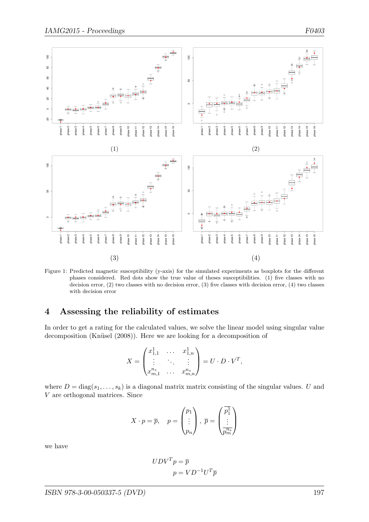

Figure 1: Predicted magnetic susceptibility (y-axis) for the simulated experiments as boxplots for the different phases considered. Red dots show the true value of theses susceptibilities. (1) five classes with no decision error, (2) two classes with no decision error, (3) five classes with decision error, (4) two classes with decision error

# 4 Assessing the reliability of estimates

In order to get a rating for the calculated values, we solve the linear model using singular value decomposition (Knüsel (2008)). Here we are looking for a decomposition of

$$
X = \begin{pmatrix} x_{1,1}^1 & \cdots & x_{1,n}^1 \\ \vdots & \ddots & \vdots \\ x_{m,1}^{n_s} & \cdots & x_{m,n}^{n_s} \end{pmatrix} = U \cdot D \cdot V^T,
$$

where  $D = diag(s_1, \ldots, s_k)$  is a diagonal matrix matrix consisting of the singular values. U and V are orthogonal matrices. Since

$$
X \cdot p = \overline{p}, \quad p = \begin{pmatrix} p_1 \\ \vdots \\ p_n \end{pmatrix}, \ \overline{p} = \begin{pmatrix} \overline{p_1^1} \\ \vdots \\ \overline{p_m^{n_s}} \end{pmatrix}
$$

we have

$$
UDVTp = \overline{p}
$$

$$
p = VD^{-1}UT\overline{p}
$$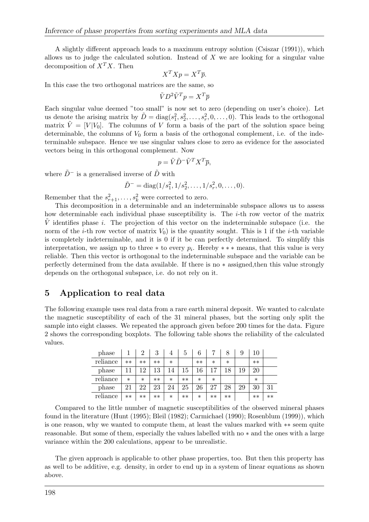A slightly different approach leads to a maximum entropy solution (Csiszar (1991)), which allows us to judge the calculated solution. Instead of  $X$  we are looking for a singular value decomposition of  $X<sup>T</sup>X$ . Then

$$
X^T X p = X^T \overline{p}.
$$

In this case the two orthogonal matrices are the same, so

$$
\tilde{V}D^2\tilde{V}^Tp=X^T\overline{p}
$$

Each singular value deemed "too small" is now set to zero (depending on user's choice). Let us denote the arising matrix by  $\tilde{D} = \text{diag}(s_1^2, s_2^2, \dots, s_r^2, 0, \dots, 0)$ . This leads to the orthogonal matrix  $\tilde{V} = [V|V_0]$ . The columns of V form a basis of the part of the solution space being determinable, the columns of  $V_0$  form a basis of the orthogonal complement, i.e. of the indeterminable subspace. Hence we use singular values close to zero as evidence for the associated vectors being in this orthogonal complement. Now

$$
p = \tilde{V}\tilde{D}^-\tilde{V}^TX^T\overline{p},
$$

where  $\tilde{D}^-$  is a generalised inverse of  $\tilde{D}$  with

$$
\tilde{D}^- = \text{diag}(1/s_1^2, 1/s_2^2, \dots, 1/s_r^2, 0, \dots, 0).
$$

Remember that the  $s_{r+1}^2, \ldots, s_k^2$  were corrected to zero.

This decomposition in a determinable and an indeterminable subspace allows us to assess how determinable each individual phase susceptibility is. The i-th row vector of the matrix V identifies phase i. The projection of this vector on the indeterminable subspace (i.e. the norm of the *i*-th row vector of matrix  $V_0$  is the quantity sought. This is 1 if the *i*-th variable is completely indeterminable, and it is 0 if it be can perfectly determined. To simplify this interpretation, we assign up to three  $*$  to every  $p_i$ . Hereby  $**$  \* means, that this value is very reliable. Then this vector is orthogonal to the indeterminable subspace and the variable can be perfectly determined from the data available. If there is no ∗ assigned,then this value strongly depends on the orthogonal subspace, i.e. do not rely on it.

## 5 Application to real data

The following example uses real data from a rare earth mineral deposit. We wanted to calculate the magnetic susceptibility of each of the 31 mineral phases, but the sorting only split the sample into eight classes. We repeated the approach given before 200 times for the data. Figure 2 shows the corresponding boxplots. The following table shows the reliability of the calculated values.

| phase    |        | റ      | 3    | 4      | <sub>6</sub> | 6      |        |        | 9  | 10     |      |
|----------|--------|--------|------|--------|--------------|--------|--------|--------|----|--------|------|
| reliance | $**$   | $**$   | $**$ | $\ast$ |              | $**$   | $\ast$ | $\ast$ |    | $**$   |      |
| phase    |        | 19     | 13   | 14     | 15           | 16     |        | 18     | 19 | 20     |      |
| reliance | $\ast$ | $\ast$ | $**$ | $\ast$ | $***$        | $\ast$ | $\ast$ |        |    | $\ast$ |      |
| phase    | 21     | 22     | 23   | 24     | 25           | 26     | 27     | 28     | 29 | 30     | 31   |
| reliance | $**$   | $**$   | $**$ | $\ast$ | $**$         | $\ast$ | $**$   | $**$   |    | $**$   | $**$ |

Compared to the little number of magnetic susceptibilities of the observed mineral phases found in the literature (Hunt (1995); Bleil (1982); Carmichael (1990); Rosenblum (1999)), which is one reason, why we wanted to compute them, at least the values marked with ∗∗ seem quite reasonable. But some of them, especially the values labelled with no ∗ and the ones with a large variance within the 200 calculations, appear to be unrealistic.

The given approach is applicable to other phase properties, too. But then this property has as well to be additive, e.g. density, in order to end up in a system of linear equations as shown above.